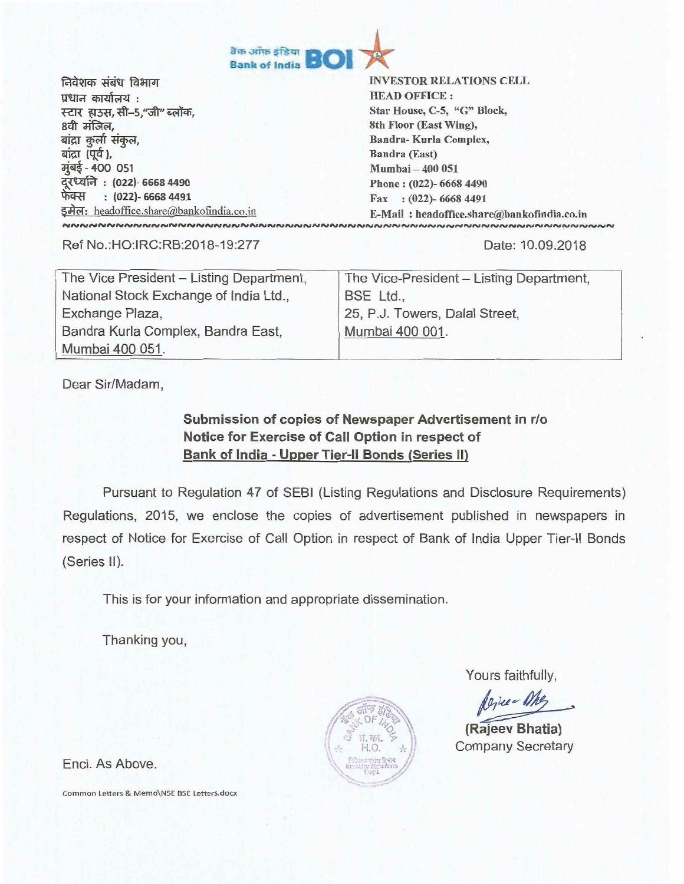

निवेशक संबंध विभाग प्रधान कार्यालय: स्टार हाउस,सी–5,"जी"<br>8वी मंजिल,<br>बांद्रा कुर्ला संकुल,<br>बांदा (पर्व) 8वी मंजिल,<br>बांद्रा कुर्ला संकुल, बांद्रा (पूर्व), मूंबई - 400 051 दूरध्वनि : (022)- 6668 4490<br>फेक्स : (022)- 6668 4491<br>-इमेल: headoffice.share@bankofindia.co.in

INVESTOR RELATIONS CELL HEAD OFFICE : Star House, C-5, "G" Block, 8th Floor (East Wing), Sandra- Kurla Complex, Bandra (East) Mumbai — 400 051 Phone : (022)- 6668 4490 Fax : (022)- 6668 4491 E-Mail : headoffice.share@bankofindia.co.in

Ref No.:HO:IRC:RB:2018-19:277 Date: 10.09.2018

| The Vice President - Listing Department, | The Vice-President - Listing Department, |  |
|------------------------------------------|------------------------------------------|--|
| National Stock Exchange of India Ltd.,   | BSE Ltd.,                                |  |
| Exchange Plaza,                          | 25, P.J. Towers, Dalal Street,           |  |
| Bandra Kurla Complex, Bandra East,       | Mumbai 400 001.                          |  |
| Mumbai 400 051.                          |                                          |  |

Dear Sir/Madam,

## **Submission of copies of Newspaper Advertisement in r/o Notice for Exercise of Call Option in respect of Bank of India - Upper Tier-II Bonds (Series II)**

Pursuant to Regulation 47 of SEBI (Listing Regulations and Disclosure Requirements) Regulations, 2015, we enclose the copies of advertisement published in newspapers in respect of Notice for Exercise of Call Option in respect of Bank of India Upper Tier-II Bonds (Series II).

This is for your information and appropriate dissemination.

Thanking you,

Yours faithfully,

Agree Me

**(Rajeev Bhatia)**  Company Secretary

Encl. As Above.

Common Letters & Memo\NSE BSE Letters.docx